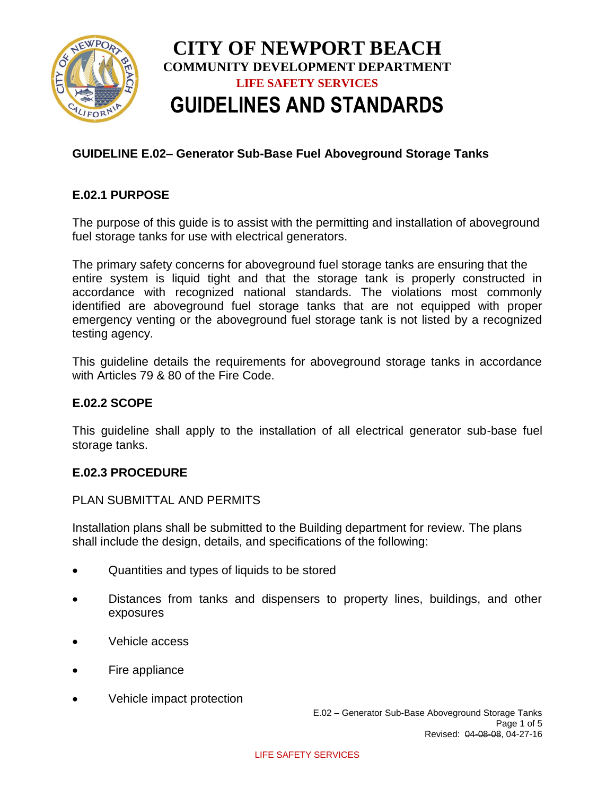

# **GUIDELINE E.02– Generator Sub-Base Fuel Aboveground Storage Tanks**

## **E.02.1 PURPOSE**

The purpose of this guide is to assist with the permitting and installation of aboveground fuel storage tanks for use with electrical generators.

The primary safety concerns for aboveground fuel storage tanks are ensuring that the entire system is liquid tight and that the storage tank is properly constructed in accordance with recognized national standards. The violations most commonly identified are aboveground fuel storage tanks that are not equipped with proper emergency venting or the aboveground fuel storage tank is not listed by a recognized testing agency.

This guideline details the requirements for aboveground storage tanks in accordance with Articles 79 & 80 of the Fire Code.

### **E.02.2 SCOPE**

This guideline shall apply to the installation of all electrical generator sub-base fuel storage tanks.

#### **E.02.3 PROCEDURE**

#### PLAN SUBMITTAL AND PERMITS

Installation plans shall be submitted to the Building department for review. The plans shall include the design, details, and specifications of the following:

- Quantities and types of liquids to be stored
- Distances from tanks and dispensers to property lines, buildings, and other exposures
- Vehicle access
- Fire appliance
- Vehicle impact protection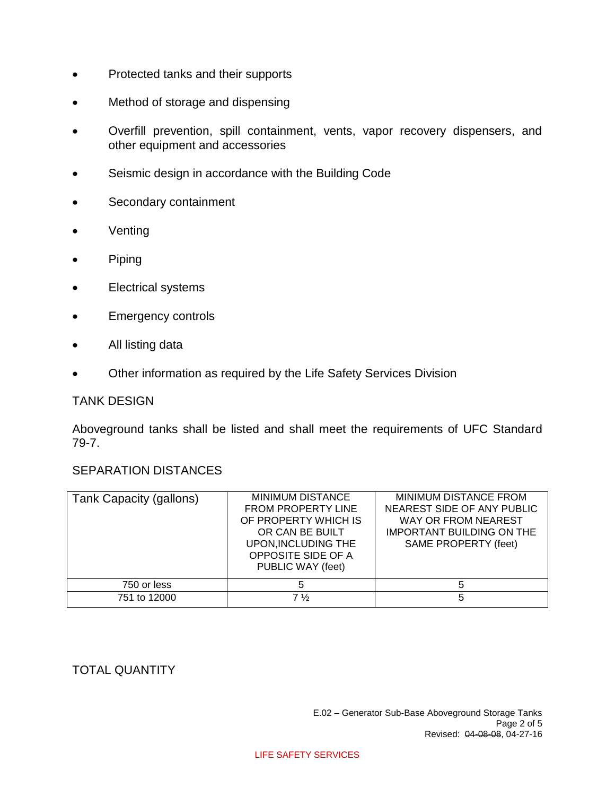- Protected tanks and their supports
- Method of storage and dispensing
- Overfill prevention, spill containment, vents, vapor recovery dispensers, and other equipment and accessories
- Seismic design in accordance with the Building Code
- Secondary containment
- Venting
- Piping
- Electrical systems
- Emergency controls
- All listing data
- Other information as required by the Life Safety Services Division

#### TANK DESIGN

Aboveground tanks shall be listed and shall meet the requirements of UFC Standard 79-7.

## SEPARATION DISTANCES

| Tank Capacity (gallons) | MINIMUM DISTANCE<br><b>FROM PROPERTY LINE</b><br>OF PROPERTY WHICH IS<br>OR CAN BE BUILT<br>UPON, INCLUDING THE<br>OPPOSITE SIDE OF A<br>PUBLIC WAY (feet) | <b>MINIMUM DISTANCE FROM</b><br>NEAREST SIDE OF ANY PUBLIC<br>WAY OR FROM NEAREST<br><b>IMPORTANT BUILDING ON THE</b><br>SAME PROPERTY (feet) |
|-------------------------|------------------------------------------------------------------------------------------------------------------------------------------------------------|-----------------------------------------------------------------------------------------------------------------------------------------------|
| 750 or less             | 5                                                                                                                                                          |                                                                                                                                               |
| 751 to 12000            | 7 ½                                                                                                                                                        | 5                                                                                                                                             |

## TOTAL QUANTITY

#### LIFE SAFETY SERVICES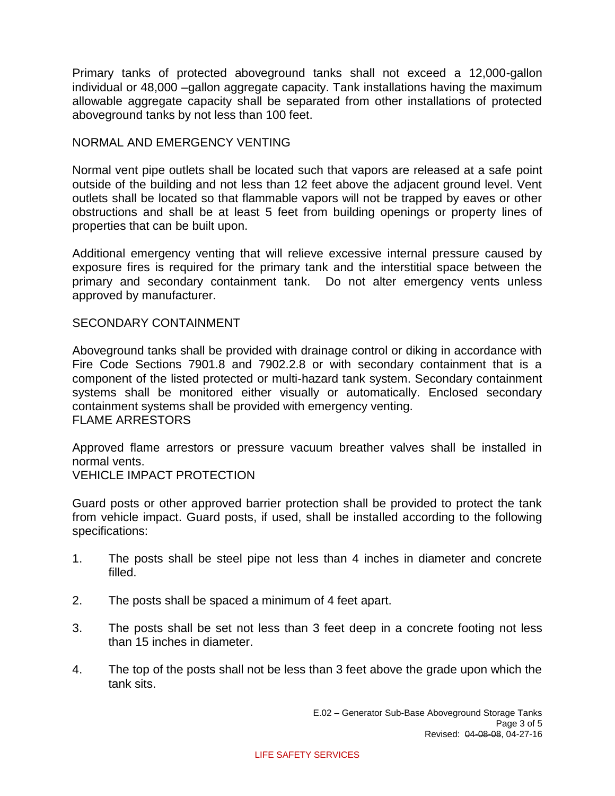Primary tanks of protected aboveground tanks shall not exceed a 12,000-gallon individual or 48,000 –gallon aggregate capacity. Tank installations having the maximum allowable aggregate capacity shall be separated from other installations of protected aboveground tanks by not less than 100 feet.

## NORMAL AND EMERGENCY VENTING

Normal vent pipe outlets shall be located such that vapors are released at a safe point outside of the building and not less than 12 feet above the adjacent ground level. Vent outlets shall be located so that flammable vapors will not be trapped by eaves or other obstructions and shall be at least 5 feet from building openings or property lines of properties that can be built upon.

Additional emergency venting that will relieve excessive internal pressure caused by exposure fires is required for the primary tank and the interstitial space between the primary and secondary containment tank. Do not alter emergency vents unless approved by manufacturer.

## SECONDARY CONTAINMENT

Aboveground tanks shall be provided with drainage control or diking in accordance with Fire Code Sections 7901.8 and 7902.2.8 or with secondary containment that is a component of the listed protected or multi-hazard tank system. Secondary containment systems shall be monitored either visually or automatically. Enclosed secondary containment systems shall be provided with emergency venting. FLAME ARRESTORS

Approved flame arrestors or pressure vacuum breather valves shall be installed in normal vents.

VEHICLE IMPACT PROTECTION

Guard posts or other approved barrier protection shall be provided to protect the tank from vehicle impact. Guard posts, if used, shall be installed according to the following specifications:

- 1. The posts shall be steel pipe not less than 4 inches in diameter and concrete filled.
- 2. The posts shall be spaced a minimum of 4 feet apart.
- 3. The posts shall be set not less than 3 feet deep in a concrete footing not less than 15 inches in diameter.
- 4. The top of the posts shall not be less than 3 feet above the grade upon which the tank sits.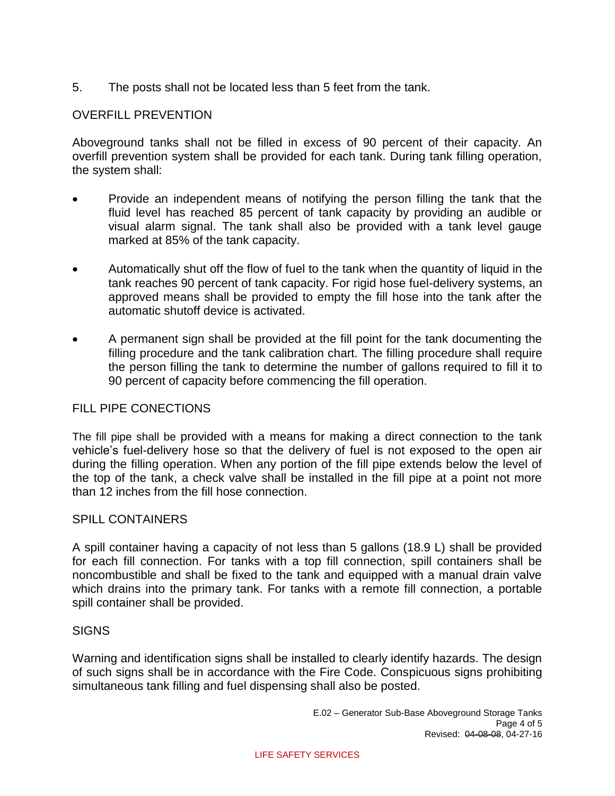5. The posts shall not be located less than 5 feet from the tank.

# OVERFILL PREVENTION

Aboveground tanks shall not be filled in excess of 90 percent of their capacity. An overfill prevention system shall be provided for each tank. During tank filling operation, the system shall:

- Provide an independent means of notifying the person filling the tank that the fluid level has reached 85 percent of tank capacity by providing an audible or visual alarm signal. The tank shall also be provided with a tank level gauge marked at 85% of the tank capacity.
- Automatically shut off the flow of fuel to the tank when the quantity of liquid in the tank reaches 90 percent of tank capacity. For rigid hose fuel-delivery systems, an approved means shall be provided to empty the fill hose into the tank after the automatic shutoff device is activated.
- A permanent sign shall be provided at the fill point for the tank documenting the filling procedure and the tank calibration chart. The filling procedure shall require the person filling the tank to determine the number of gallons required to fill it to 90 percent of capacity before commencing the fill operation.

## FILL PIPE CONECTIONS

The fill pipe shall be provided with a means for making a direct connection to the tank vehicle's fuel-delivery hose so that the delivery of fuel is not exposed to the open air during the filling operation. When any portion of the fill pipe extends below the level of the top of the tank, a check valve shall be installed in the fill pipe at a point not more than 12 inches from the fill hose connection.

## SPILL CONTAINERS

A spill container having a capacity of not less than 5 gallons (18.9 L) shall be provided for each fill connection. For tanks with a top fill connection, spill containers shall be noncombustible and shall be fixed to the tank and equipped with a manual drain valve which drains into the primary tank. For tanks with a remote fill connection, a portable spill container shall be provided.

#### **SIGNS**

Warning and identification signs shall be installed to clearly identify hazards. The design of such signs shall be in accordance with the Fire Code. Conspicuous signs prohibiting simultaneous tank filling and fuel dispensing shall also be posted.